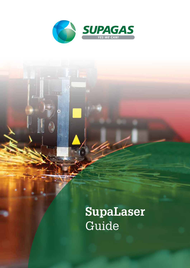

 $\begin{pmatrix} 0 \\ 0 \end{pmatrix}$ 

# **SupaLaser** Guide